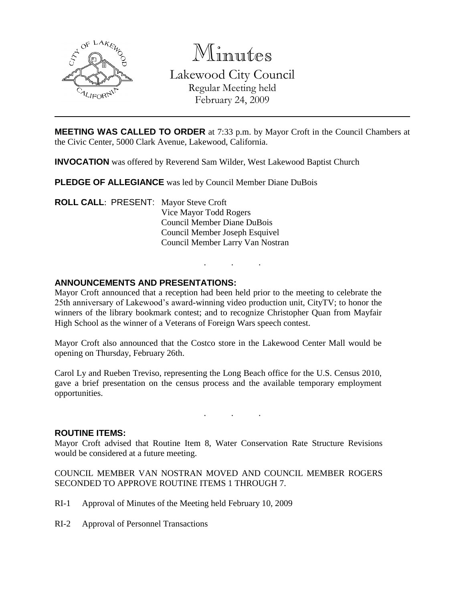

Minutes

Lakewood City Council Regular Meeting held February 24, 2009

**MEETING WAS CALLED TO ORDER** at 7:33 p.m. by Mayor Croft in the Council Chambers at the Civic Center, 5000 Clark Avenue, Lakewood, California.

**INVOCATION** was offered by Reverend Sam Wilder, West Lakewood Baptist Church

**PLEDGE OF ALLEGIANCE** was led by Council Member Diane DuBois

**ROLL CALL**: PRESENT: Mayor Steve Croft Vice Mayor Todd Rogers Council Member Diane DuBois Council Member Joseph Esquivel Council Member Larry Van Nostran

## **ANNOUNCEMENTS AND PRESENTATIONS:**

Mayor Croft announced that a reception had been held prior to the meeting to celebrate the 25th anniversary of Lakewood's award-winning video production unit, CityTV; to honor the winners of the library bookmark contest; and to recognize Christopher Quan from Mayfair High School as the winner of a Veterans of Foreign Wars speech contest.

. . .

Mayor Croft also announced that the Costco store in the Lakewood Center Mall would be opening on Thursday, February 26th.

Carol Ly and Rueben Treviso, representing the Long Beach office for the U.S. Census 2010, gave a brief presentation on the census process and the available temporary employment opportunities.

. . .

#### **ROUTINE ITEMS:**

Mayor Croft advised that Routine Item 8, Water Conservation Rate Structure Revisions would be considered at a future meeting.

COUNCIL MEMBER VAN NOSTRAN MOVED AND COUNCIL MEMBER ROGERS SECONDED TO APPROVE ROUTINE ITEMS 1 THROUGH 7.

- RI-1 Approval of Minutes of the Meeting held February 10, 2009
- RI-2 Approval of Personnel Transactions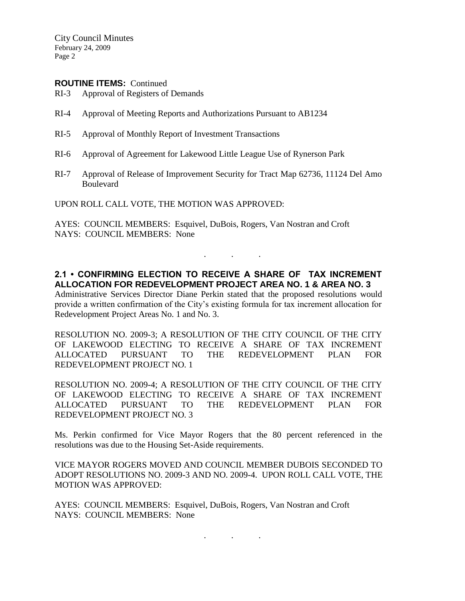City Council Minutes February 24, 2009 Page 2

#### **ROUTINE ITEMS:** Continued

- RI-3 Approval of Registers of Demands
- RI-4 Approval of Meeting Reports and Authorizations Pursuant to AB1234
- RI-5 Approval of Monthly Report of Investment Transactions
- RI-6 Approval of Agreement for Lakewood Little League Use of Rynerson Park
- RI-7 Approval of Release of Improvement Security for Tract Map 62736, 11124 Del Amo Boulevard

UPON ROLL CALL VOTE, THE MOTION WAS APPROVED:

AYES: COUNCIL MEMBERS: Esquivel, DuBois, Rogers, Van Nostran and Croft NAYS: COUNCIL MEMBERS: None

**2.1 • CONFIRMING ELECTION TO RECEIVE A SHARE OF TAX INCREMENT ALLOCATION FOR REDEVELOPMENT PROJECT AREA NO. 1 & AREA NO. 3**

. . .

Administrative Services Director Diane Perkin stated that the proposed resolutions would provide a written confirmation of the City's existing formula for tax increment allocation for Redevelopment Project Areas No. 1 and No. 3.

RESOLUTION NO. 2009-3; A RESOLUTION OF THE CITY COUNCIL OF THE CITY OF LAKEWOOD ELECTING TO RECEIVE A SHARE OF TAX INCREMENT ALLOCATED PURSUANT TO THE REDEVELOPMENT PLAN FOR REDEVELOPMENT PROJECT NO. 1

RESOLUTION NO. 2009-4; A RESOLUTION OF THE CITY COUNCIL OF THE CITY OF LAKEWOOD ELECTING TO RECEIVE A SHARE OF TAX INCREMENT ALLOCATED PURSUANT TO THE REDEVELOPMENT PLAN FOR REDEVELOPMENT PROJECT NO. 3

Ms. Perkin confirmed for Vice Mayor Rogers that the 80 percent referenced in the resolutions was due to the Housing Set-Aside requirements.

VICE MAYOR ROGERS MOVED AND COUNCIL MEMBER DUBOIS SECONDED TO ADOPT RESOLUTIONS NO. 2009-3 AND NO. 2009-4. UPON ROLL CALL VOTE, THE MOTION WAS APPROVED:

. . .

AYES: COUNCIL MEMBERS: Esquivel, DuBois, Rogers, Van Nostran and Croft NAYS: COUNCIL MEMBERS: None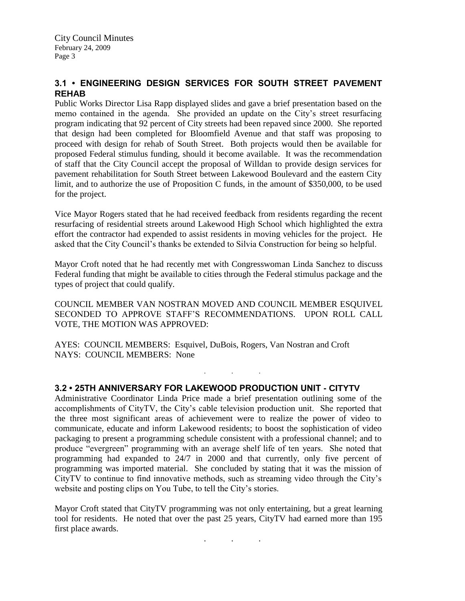# **3.1 • ENGINEERING DESIGN SERVICES FOR SOUTH STREET PAVEMENT REHAB**

Public Works Director Lisa Rapp displayed slides and gave a brief presentation based on the memo contained in the agenda. She provided an update on the City's street resurfacing program indicating that 92 percent of City streets had been repaved since 2000. She reported that design had been completed for Bloomfield Avenue and that staff was proposing to proceed with design for rehab of South Street. Both projects would then be available for proposed Federal stimulus funding, should it become available. It was the recommendation of staff that the City Council accept the proposal of Willdan to provide design services for pavement rehabilitation for South Street between Lakewood Boulevard and the eastern City limit, and to authorize the use of Proposition C funds, in the amount of \$350,000, to be used for the project.

Vice Mayor Rogers stated that he had received feedback from residents regarding the recent resurfacing of residential streets around Lakewood High School which highlighted the extra effort the contractor had expended to assist residents in moving vehicles for the project. He asked that the City Council's thanks be extended to Silvia Construction for being so helpful.

Mayor Croft noted that he had recently met with Congresswoman Linda Sanchez to discuss Federal funding that might be available to cities through the Federal stimulus package and the types of project that could qualify.

COUNCIL MEMBER VAN NOSTRAN MOVED AND COUNCIL MEMBER ESQUIVEL SECONDED TO APPROVE STAFF'S RECOMMENDATIONS. UPON ROLL CALL VOTE, THE MOTION WAS APPROVED:

. . .

AYES: COUNCIL MEMBERS: Esquivel, DuBois, Rogers, Van Nostran and Croft NAYS: COUNCIL MEMBERS: None

# **3.2 • 25TH ANNIVERSARY FOR LAKEWOOD PRODUCTION UNIT - CITYTV**

Administrative Coordinator Linda Price made a brief presentation outlining some of the accomplishments of CityTV, the City's cable television production unit. She reported that the three most significant areas of achievement were to realize the power of video to communicate, educate and inform Lakewood residents; to boost the sophistication of video packaging to present a programming schedule consistent with a professional channel; and to produce "evergreen" programming with an average shelf life of ten years. She noted that programming had expanded to 24/7 in 2000 and that currently, only five percent of programming was imported material. She concluded by stating that it was the mission of CityTV to continue to find innovative methods, such as streaming video through the City's website and posting clips on You Tube, to tell the City's stories.

Mayor Croft stated that CityTV programming was not only entertaining, but a great learning tool for residents. He noted that over the past 25 years, CityTV had earned more than 195 first place awards.

. . .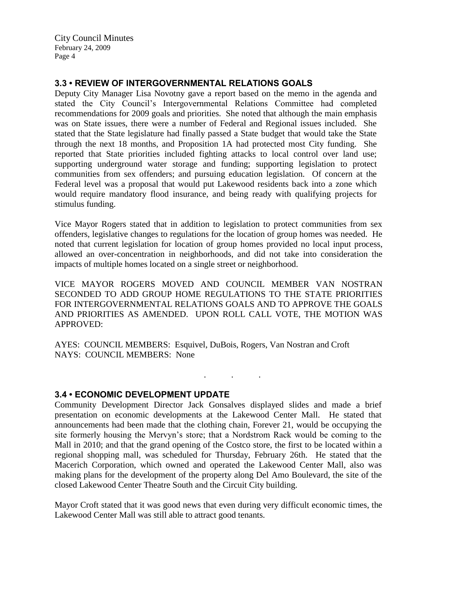City Council Minutes February 24, 2009 Page 4

## **3.3 • REVIEW OF INTERGOVERNMENTAL RELATIONS GOALS**

Deputy City Manager Lisa Novotny gave a report based on the memo in the agenda and stated the City Council's Intergovernmental Relations Committee had completed recommendations for 2009 goals and priorities. She noted that although the main emphasis was on State issues, there were a number of Federal and Regional issues included. She stated that the State legislature had finally passed a State budget that would take the State through the next 18 months, and Proposition 1A had protected most City funding. She reported that State priorities included fighting attacks to local control over land use; supporting underground water storage and funding; supporting legislation to protect communities from sex offenders; and pursuing education legislation. Of concern at the Federal level was a proposal that would put Lakewood residents back into a zone which would require mandatory flood insurance, and being ready with qualifying projects for stimulus funding.

Vice Mayor Rogers stated that in addition to legislation to protect communities from sex offenders, legislative changes to regulations for the location of group homes was needed. He noted that current legislation for location of group homes provided no local input process, allowed an over-concentration in neighborhoods, and did not take into consideration the impacts of multiple homes located on a single street or neighborhood.

VICE MAYOR ROGERS MOVED AND COUNCIL MEMBER VAN NOSTRAN SECONDED TO ADD GROUP HOME REGULATIONS TO THE STATE PRIORITIES FOR INTERGOVERNMENTAL RELATIONS GOALS AND TO APPROVE THE GOALS AND PRIORITIES AS AMENDED. UPON ROLL CALL VOTE, THE MOTION WAS APPROVED:

AYES: COUNCIL MEMBERS: Esquivel, DuBois, Rogers, Van Nostran and Croft NAYS: COUNCIL MEMBERS: None

## **3.4 • ECONOMIC DEVELOPMENT UPDATE**

Community Development Director Jack Gonsalves displayed slides and made a brief presentation on economic developments at the Lakewood Center Mall. He stated that announcements had been made that the clothing chain, Forever 21, would be occupying the site formerly housing the Mervyn's store; that a Nordstrom Rack would be coming to the Mall in 2010; and that the grand opening of the Costco store, the first to be located within a regional shopping mall, was scheduled for Thursday, February 26th. He stated that the Macerich Corporation, which owned and operated the Lakewood Center Mall, also was making plans for the development of the property along Del Amo Boulevard, the site of the closed Lakewood Center Theatre South and the Circuit City building.

. . .

Mayor Croft stated that it was good news that even during very difficult economic times, the Lakewood Center Mall was still able to attract good tenants.